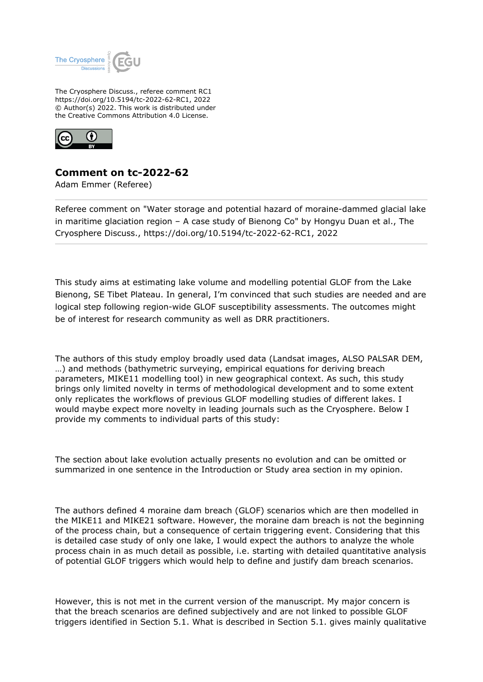

The Cryosphere Discuss., referee comment RC1 https://doi.org/10.5194/tc-2022-62-RC1, 2022 © Author(s) 2022. This work is distributed under the Creative Commons Attribution 4.0 License.



## **Comment on tc-2022-62**

Adam Emmer (Referee)

Referee comment on "Water storage and potential hazard of moraine-dammed glacial lake in maritime glaciation region – A case study of Bienong Co" by Hongyu Duan et al., The Cryosphere Discuss., https://doi.org/10.5194/tc-2022-62-RC1, 2022

This study aims at estimating lake volume and modelling potential GLOF from the Lake Bienong, SE Tibet Plateau. In general, I'm convinced that such studies are needed and are logical step following region-wide GLOF susceptibility assessments. The outcomes might be of interest for research community as well as DRR practitioners.

The authors of this study employ broadly used data (Landsat images, ALSO PALSAR DEM, …) and methods (bathymetric surveying, empirical equations for deriving breach parameters, MIKE11 modelling tool) in new geographical context. As such, this study brings only limited novelty in terms of methodological development and to some extent only replicates the workflows of previous GLOF modelling studies of different lakes. I would maybe expect more novelty in leading journals such as the Cryosphere. Below I provide my comments to individual parts of this study:

The section about lake evolution actually presents no evolution and can be omitted or summarized in one sentence in the Introduction or Study area section in my opinion.

The authors defined 4 moraine dam breach (GLOF) scenarios which are then modelled in the MIKE11 and MIKE21 software. However, the moraine dam breach is not the beginning of the process chain, but a consequence of certain triggering event. Considering that this is detailed case study of only one lake, I would expect the authors to analyze the whole process chain in as much detail as possible, i.e. starting with detailed quantitative analysis of potential GLOF triggers which would help to define and justify dam breach scenarios.

However, this is not met in the current version of the manuscript. My major concern is that the breach scenarios are defined subjectively and are not linked to possible GLOF triggers identified in Section 5.1. What is described in Section 5.1. gives mainly qualitative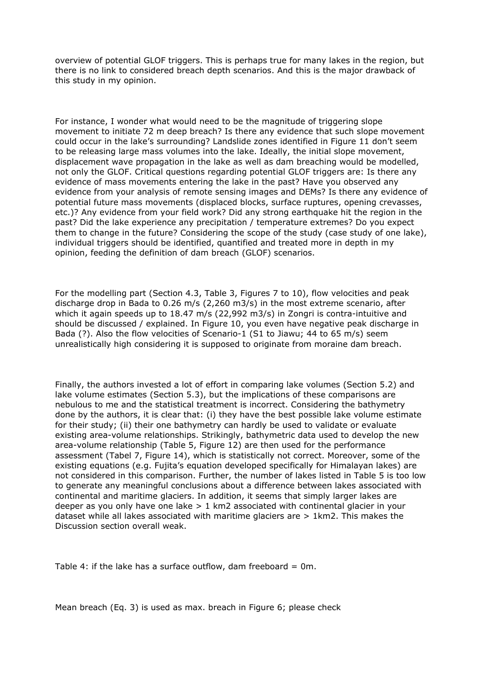overview of potential GLOF triggers. This is perhaps true for many lakes in the region, but there is no link to considered breach depth scenarios. And this is the major drawback of this study in my opinion.

For instance, I wonder what would need to be the magnitude of triggering slope movement to initiate 72 m deep breach? Is there any evidence that such slope movement could occur in the lake's surrounding? Landslide zones identified in Figure 11 don't seem to be releasing large mass volumes into the lake. Ideally, the initial slope movement, displacement wave propagation in the lake as well as dam breaching would be modelled, not only the GLOF. Critical questions regarding potential GLOF triggers are: Is there any evidence of mass movements entering the lake in the past? Have you observed any evidence from your analysis of remote sensing images and DEMs? Is there any evidence of potential future mass movements (displaced blocks, surface ruptures, opening crevasses, etc.)? Any evidence from your field work? Did any strong earthquake hit the region in the past? Did the lake experience any precipitation / temperature extremes? Do you expect them to change in the future? Considering the scope of the study (case study of one lake), individual triggers should be identified, quantified and treated more in depth in my opinion, feeding the definition of dam breach (GLOF) scenarios.

For the modelling part (Section 4.3, Table 3, Figures 7 to 10), flow velocities and peak discharge drop in Bada to 0.26 m/s (2,260 m3/s) in the most extreme scenario, after which it again speeds up to 18.47 m/s (22,992 m3/s) in Zongri is contra-intuitive and should be discussed / explained. In Figure 10, you even have negative peak discharge in Bada (?). Also the flow velocities of Scenario-1 (S1 to Jiawu; 44 to 65 m/s) seem unrealistically high considering it is supposed to originate from moraine dam breach.

Finally, the authors invested a lot of effort in comparing lake volumes (Section 5.2) and lake volume estimates (Section 5.3), but the implications of these comparisons are nebulous to me and the statistical treatment is incorrect. Considering the bathymetry done by the authors, it is clear that: (i) they have the best possible lake volume estimate for their study; (ii) their one bathymetry can hardly be used to validate or evaluate existing area-volume relationships. Strikingly, bathymetric data used to develop the new area-volume relationship (Table 5, Figure 12) are then used for the performance assessment (Tabel 7, Figure 14), which is statistically not correct. Moreover, some of the existing equations (e.g. Fujita's equation developed specifically for Himalayan lakes) are not considered in this comparison. Further, the number of lakes listed in Table 5 is too low to generate any meaningful conclusions about a difference between lakes associated with continental and maritime glaciers. In addition, it seems that simply larger lakes are deeper as you only have one lake  $> 1$  km2 associated with continental glacier in your dataset while all lakes associated with maritime glaciers are > 1km2. This makes the Discussion section overall weak.

Table 4: if the lake has a surface outflow, dam freeboard  $= 0$ m.

Mean breach (Eq. 3) is used as max. breach in Figure 6; please check